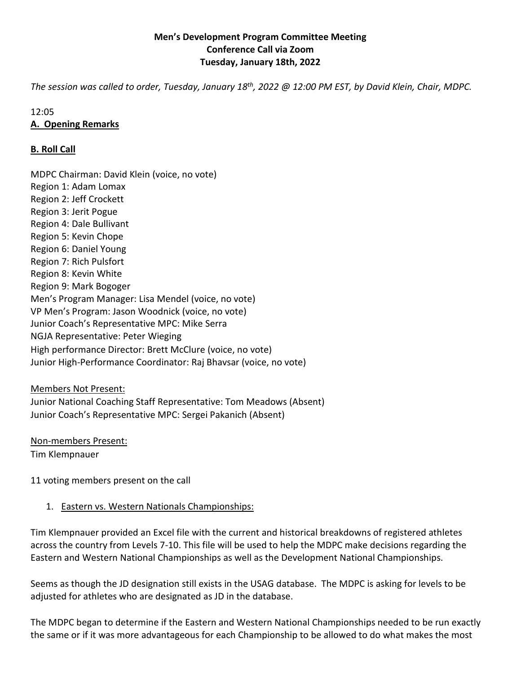## **Men's Development Program Committee Meeting Conference Call via Zoom Tuesday, January 18th, 2022**

*The session was called to order, Tuesday, January 18th, 2022 @ 12:00 PM EST, by David Klein, Chair, MDPC.* 

#### 12:05

## **A. Opening Remarks**

## **B. Roll Call**

MDPC Chairman: David Klein (voice, no vote) Region 1: Adam Lomax Region 2: Jeff Crockett Region 3: Jerit Pogue Region 4: Dale Bullivant Region 5: Kevin Chope Region 6: Daniel Young Region 7: Rich Pulsfort Region 8: Kevin White Region 9: Mark Bogoger Men's Program Manager: Lisa Mendel (voice, no vote) VP Men's Program: Jason Woodnick (voice, no vote) Junior Coach's Representative MPC: Mike Serra NGJA Representative: Peter Wieging High performance Director: Brett McClure (voice, no vote) Junior High-Performance Coordinator: Raj Bhavsar (voice, no vote)

#### Members Not Present:

Junior National Coaching Staff Representative: Tom Meadows (Absent) Junior Coach's Representative MPC: Sergei Pakanich (Absent)

Non-members Present:

Tim Klempnauer

11 voting members present on the call

# 1. Eastern vs. Western Nationals Championships:

Tim Klempnauer provided an Excel file with the current and historical breakdowns of registered athletes across the country from Levels 7-10. This file will be used to help the MDPC make decisions regarding the Eastern and Western National Championships as well as the Development National Championships.

Seems as though the JD designation still exists in the USAG database. The MDPC is asking for levels to be adjusted for athletes who are designated as JD in the database.

The MDPC began to determine if the Eastern and Western National Championships needed to be run exactly the same or if it was more advantageous for each Championship to be allowed to do what makes the most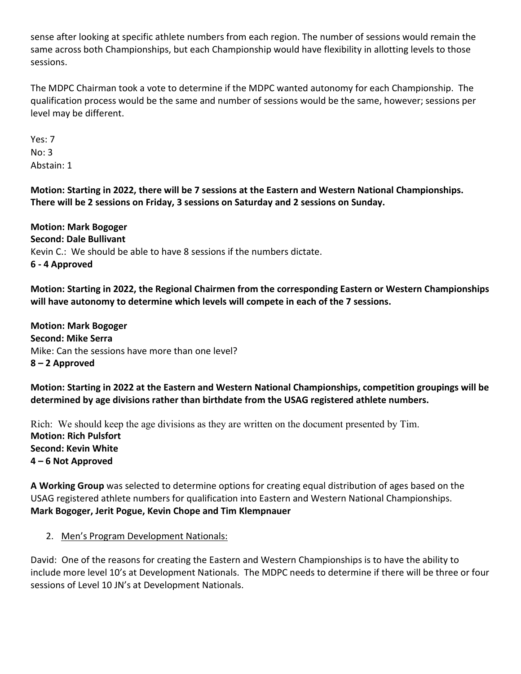sense after looking at specific athlete numbers from each region. The number of sessions would remain the same across both Championships, but each Championship would have flexibility in allotting levels to those sessions.

The MDPC Chairman took a vote to determine if the MDPC wanted autonomy for each Championship. The qualification process would be the same and number of sessions would be the same, however; sessions per level may be different.

Yes: 7 No: 3 Abstain: 1

**Motion: Starting in 2022, there will be 7 sessions at the Eastern and Western National Championships. There will be 2 sessions on Friday, 3 sessions on Saturday and 2 sessions on Sunday.** 

**Motion: Mark Bogoger Second: Dale Bullivant**  Kevin C.: We should be able to have 8 sessions if the numbers dictate. **6 - 4 Approved** 

**Motion: Starting in 2022, the Regional Chairmen from the corresponding Eastern or Western Championships will have autonomy to determine which levels will compete in each of the 7 sessions.** 

**Motion: Mark Bogoger Second: Mike Serra**  Mike: Can the sessions have more than one level? **8 – 2 Approved** 

**Motion: Starting in 2022 at the Eastern and Western National Championships, competition groupings will be determined by age divisions rather than birthdate from the USAG registered athlete numbers.** 

Rich: We should keep the age divisions as they are written on the document presented by Tim. **Motion: Rich Pulsfort Second: Kevin White 4 – 6 Not Approved**

**A Working Group** was selected to determine options for creating equal distribution of ages based on the USAG registered athlete numbers for qualification into Eastern and Western National Championships. **Mark Bogoger, Jerit Pogue, Kevin Chope and Tim Klempnauer**

# 2. Men's Program Development Nationals:

David: One of the reasons for creating the Eastern and Western Championships is to have the ability to include more level 10's at Development Nationals. The MDPC needs to determine if there will be three or four sessions of Level 10 JN's at Development Nationals.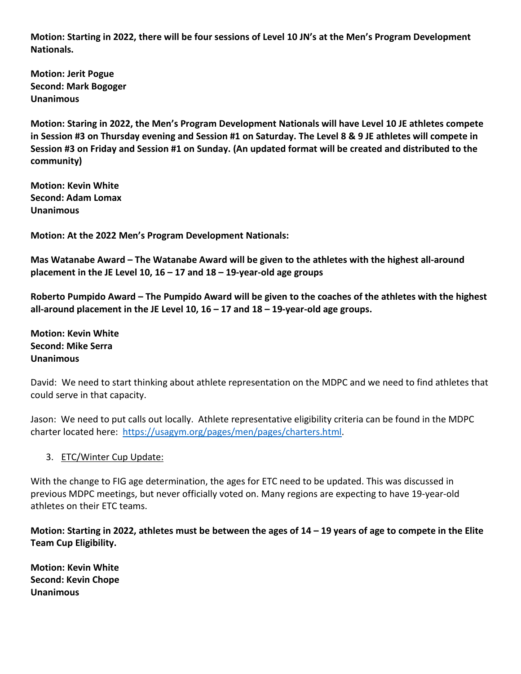**Motion: Starting in 2022, there will be four sessions of Level 10 JN's at the Men's Program Development Nationals.** 

**Motion: Jerit Pogue Second: Mark Bogoger Unanimous** 

**Motion: Staring in 2022, the Men's Program Development Nationals will have Level 10 JE athletes compete in Session #3 on Thursday evening and Session #1 on Saturday. The Level 8 & 9 JE athletes will compete in Session #3 on Friday and Session #1 on Sunday. (An updated format will be created and distributed to the community)** 

**Motion: Kevin White Second: Adam Lomax Unanimous** 

**Motion: At the 2022 Men's Program Development Nationals:** 

**Mas Watanabe Award – The Watanabe Award will be given to the athletes with the highest all-around placement in the JE Level 10, 16 – 17 and 18 – 19-year-old age groups** 

**Roberto Pumpido Award – The Pumpido Award will be given to the coaches of the athletes with the highest all-around placement in the JE Level 10, 16 – 17 and 18 – 19-year-old age groups.** 

**Motion: Kevin White Second: Mike Serra Unanimous**

David: We need to start thinking about athlete representation on the MDPC and we need to find athletes that could serve in that capacity.

Jason: We need to put calls out locally. Athlete representative eligibility criteria can be found in the MDPC charter located here: https://usagym.org/pages/men/pages/charters.html.

# 3. ETC/Winter Cup Update:

With the change to FIG age determination, the ages for ETC need to be updated. This was discussed in previous MDPC meetings, but never officially voted on. Many regions are expecting to have 19-year-old athletes on their ETC teams.

**Motion: Starting in 2022, athletes must be between the ages of 14 – 19 years of age to compete in the Elite Team Cup Eligibility.**

**Motion: Kevin White Second: Kevin Chope Unanimous**